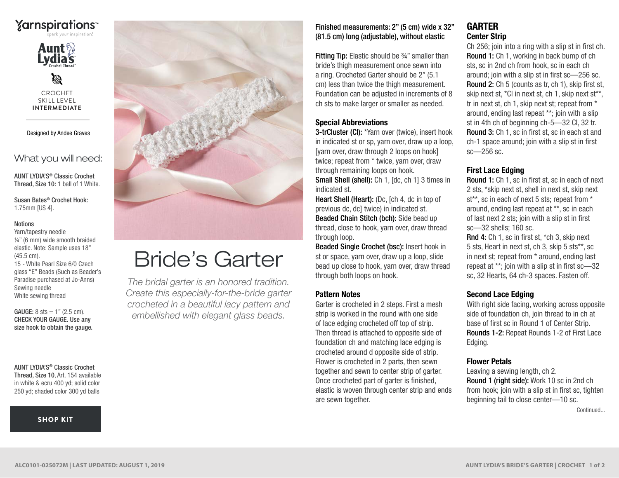



Ø CROCHET SKILL LEVEL **INTERMEDIATE**

Designed by Andee Graves

What you will need:

AUNT LYDIA'S® Classic Crochet Thread, Size 10: 1 ball of 1 White.

Susan Bates® Crochet Hook: 1.75mm [US 4].

#### Notions

Yarn/tapestry needle ¼" (6 mm) wide smooth braided elastic. Note: Sample uses 18" (45.5 cm). 15 - White Pearl Size 6/0 Czech glass "E" Beads (Such as Beader's Paradise purchased at Jo-Anns) Sewing needle White sewing thread

**GAUGE:**  $8 \text{ sts} = 1$ " (2.5 cm). CHECK YOUR GAUGE. Use any size hook to obtain the gauge.

#### AUNT LYDIA'S® Classic Crochet Thread, Size 10, Art. 154 available in white & ecru 400 yd; solid color

250 yd; shaded color 300 yd balls

#### [SHOP KIT](https://www.yarnspirations.com/aunt-lydias-brides-garter/ALC0101-025072M.html#utm_source=pdf-yarnspirations&utm_medium=referral&utm_campaign=pdf-ALC0101-025072M)



# Bride's Garter

*The bridal garter is an honored tradition. Create this especially-for-the-bride garter crocheted in a beautiful lacy pattern and embellished with elegant glass beads.*

Finished measurements: 2" (5 cm) wide x 32" (81.5 cm) long (adjustable), without elastic

Fitting Tip: Elastic should be ¾" smaller than bride's thigh measurement once sewn into a ring. Crocheted Garter should be 2" (5.1 cm) less than twice the thigh measurement. Foundation can be adjusted in increments of 8 ch sts to make larger or smaller as needed.

#### Special Abbreviations

3-trCluster (Cl): \*Yarn over (twice), insert hook in indicated st or sp, yarn over, draw up a loop, [yarn over, draw through 2 loops on hook] twice; repeat from \* twice, yarn over, draw through remaining loops on hook. Small Shell (shell): Ch 1, [dc, ch 1] 3 times in indicated st.

Heart Shell (Heart): (Dc, [ch 4, dc in top of previous dc, dc] twice) in indicated st. Beaded Chain Stitch (bch): Side bead up thread, close to hook, yarn over, draw thread through loop.

Beaded Single Crochet (bsc): Insert hook in st or space, yarn over, draw up a loop, slide bead up close to hook, yarn over, draw thread through both loops on hook.

#### Pattern Notes

Garter is crocheted in 2 steps. First a mesh strip is worked in the round with one side of lace edging crocheted off top of strip. Then thread is attached to opposite side of foundation ch and matching lace edging is crocheted around d opposite side of strip. Flower is crocheted in 2 parts, then sewn together and sewn to center strip of garter. Once crocheted part of garter is finished, elastic is woven through center strip and ends are sewn together.

# GARTER Center Strip

Ch 256; join into a ring with a slip st in first ch. Round 1: Ch 1, working in back bump of ch sts, sc in 2nd ch from hook, sc in each ch around; join with a slip st in first sc—256 sc. Round 2: Ch 5 (counts as tr, ch 1), skip first st, skip next st, \*Cl in next st, ch 1, skip next st\*\*, tr in next st, ch 1, skip next st; repeat from \* around, ending last repeat \*\*; join with a slip st in 4th ch of beginning ch-5—32 Cl, 32 tr. Round 3: Ch 1, sc in first st, sc in each st and ch-1 space around; join with a slip st in first sc—256 sc.

## First Lace Edging

Round 1: Ch 1, sc in first st, sc in each of next 2 sts, \*skip next st, shell in next st, skip next st\*\*, sc in each of next 5 sts; repeat from \* around, ending last repeat at \*\*, sc in each of last next 2 sts; join with a slip st in first sc—32 shells; 160 sc.

Rnd 4: Ch 1, sc in first st, \*ch 3, skip next 5 sts, Heart in next st, ch 3, skip 5 sts\*\*, sc in next st; repeat from \* around, ending last repeat at \*\*; join with a slip st in first sc—32 sc, 32 Hearts, 64 ch-3 spaces. Fasten off.

## Second Lace Edging

With right side facing, working across opposite side of foundation ch, join thread to in ch at base of first sc in Round 1 of Center Strip. Rounds 1-2: Repeat Rounds 1-2 of First Lace Edging.

#### Flower Petals

Leaving a sewing length, ch 2. Round 1 (right side): Work 10 sc in 2nd ch from hook; join with a slip st in first sc, tighten beginning tail to close center—10 sc.

Continued...